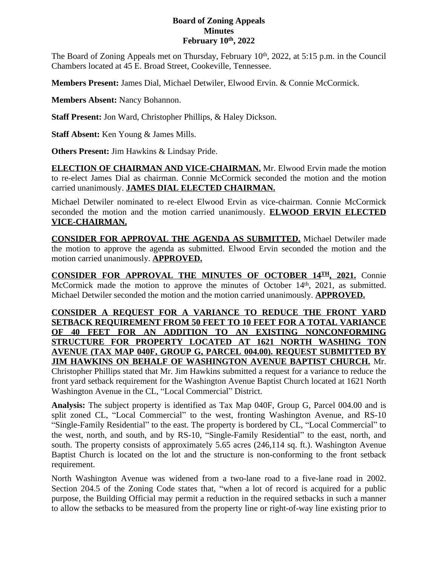## **Board of Zoning Appeals Minutes February 10th, 2022**

The Board of Zoning Appeals met on Thursday, February 10<sup>th</sup>, 2022, at 5:15 p.m. in the Council Chambers located at 45 E. Broad Street, Cookeville, Tennessee.

**Members Present:** James Dial, Michael Detwiler, Elwood Ervin. & Connie McCormick.

**Members Absent:** Nancy Bohannon.

**Staff Present:** Jon Ward, Christopher Phillips, & Haley Dickson.

**Staff Absent:** Ken Young & James Mills.

**Others Present:** Jim Hawkins & Lindsay Pride.

**ELECTION OF CHAIRMAN AND VICE-CHAIRMAN.** Mr. Elwood Ervin made the motion to re-elect James Dial as chairman. Connie McCormick seconded the motion and the motion carried unanimously. **JAMES DIAL ELECTED CHAIRMAN.**

Michael Detwiler nominated to re-elect Elwood Ervin as vice-chairman. Connie McCormick seconded the motion and the motion carried unanimously. **ELWOOD ERVIN ELECTED VICE-CHAIRMAN.**

**CONSIDER FOR APPROVAL THE AGENDA AS SUBMITTED.** Michael Detwiler made the motion to approve the agenda as submitted. Elwood Ervin seconded the motion and the motion carried unanimously. **APPROVED.**

**CONSIDER FOR APPROVAL THE MINUTES OF OCTOBER 14TH , 2021.** Connie McCormick made the motion to approve the minutes of October 14<sup>th</sup>, 2021, as submitted. Michael Detwiler seconded the motion and the motion carried unanimously. **APPROVED.**

**CONSIDER A REQUEST FOR A VARIANCE TO REDUCE THE FRONT YARD SETBACK REQUIREMENT FROM 50 FEET TO 10 FEET FOR A TOTAL VARIANCE OF 40 FEET FOR AN ADDITION TO AN EXISTING NONCONFORMING STRUCTURE FOR PROPERTY LOCATED AT 1621 NORTH WASHING TON AVENUE (TAX MAP 040F, GROUP G, PARCEL 004.00). REQUEST SUBMITTED BY JIM HAWKINS ON BEHALF OF WASHINGTON AVENUE BAPTIST CHURCH.** Mr. Christopher Phillips stated that Mr. Jim Hawkins submitted a request for a variance to reduce the front yard setback requirement for the Washington Avenue Baptist Church located at 1621 North Washington Avenue in the CL, "Local Commercial" District.

**Analysis:** The subject property is identified as Tax Map 040F, Group G, Parcel 004.00 and is split zoned CL, "Local Commercial" to the west, fronting Washington Avenue, and RS-10 "Single-Family Residential" to the east. The property is bordered by CL, "Local Commercial" to the west, north, and south, and by RS-10, "Single-Family Residential" to the east, north, and south. The property consists of approximately 5.65 acres (246,114 sq. ft.). Washington Avenue Baptist Church is located on the lot and the structure is non-conforming to the front setback requirement.

North Washington Avenue was widened from a two-lane road to a five-lane road in 2002. Section 204.5 of the Zoning Code states that, "when a lot of record is acquired for a public purpose, the Building Official may permit a reduction in the required setbacks in such a manner to allow the setbacks to be measured from the property line or right-of-way line existing prior to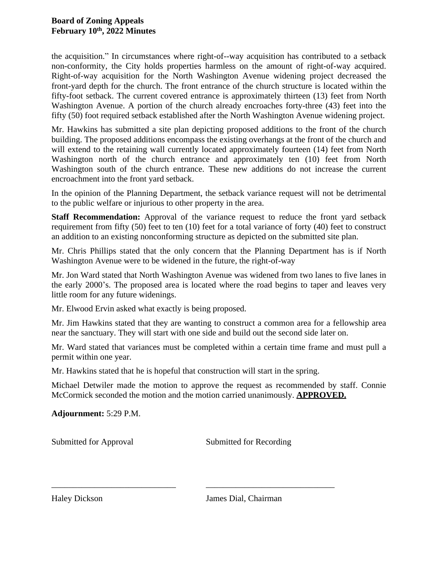the acquisition." In circumstances where right-of--way acquisition has contributed to a setback non-conformity, the City holds properties harmless on the amount of right-of-way acquired. Right-of-way acquisition for the North Washington Avenue widening project decreased the front-yard depth for the church. The front entrance of the church structure is located within the fifty-foot setback. The current covered entrance is approximately thirteen (13) feet from North Washington Avenue. A portion of the church already encroaches forty-three (43) feet into the fifty (50) foot required setback established after the North Washington Avenue widening project.

Mr. Hawkins has submitted a site plan depicting proposed additions to the front of the church building. The proposed additions encompass the existing overhangs at the front of the church and will extend to the retaining wall currently located approximately fourteen (14) feet from North Washington north of the church entrance and approximately ten (10) feet from North Washington south of the church entrance. These new additions do not increase the current encroachment into the front yard setback.

In the opinion of the Planning Department, the setback variance request will not be detrimental to the public welfare or injurious to other property in the area.

**Staff Recommendation:** Approval of the variance request to reduce the front yard setback requirement from fifty (50) feet to ten (10) feet for a total variance of forty (40) feet to construct an addition to an existing nonconforming structure as depicted on the submitted site plan.

Mr. Chris Phillips stated that the only concern that the Planning Department has is if North Washington Avenue were to be widened in the future, the right-of-way

Mr. Jon Ward stated that North Washington Avenue was widened from two lanes to five lanes in the early 2000's. The proposed area is located where the road begins to taper and leaves very little room for any future widenings.

Mr. Elwood Ervin asked what exactly is being proposed.

Mr. Jim Hawkins stated that they are wanting to construct a common area for a fellowship area near the sanctuary. They will start with one side and build out the second side later on.

Mr. Ward stated that variances must be completed within a certain time frame and must pull a permit within one year.

Mr. Hawkins stated that he is hopeful that construction will start in the spring.

\_\_\_\_\_\_\_\_\_\_\_\_\_\_\_\_\_\_\_\_\_\_\_\_\_\_\_\_\_ \_\_\_\_\_\_\_\_\_\_\_\_\_\_\_\_\_\_\_\_\_\_\_\_\_\_\_\_\_\_

Michael Detwiler made the motion to approve the request as recommended by staff. Connie McCormick seconded the motion and the motion carried unanimously. **APPROVED.**

**Adjournment:** 5:29 P.M.

Submitted for Approval Submitted for Recording

Haley Dickson James Dial, Chairman